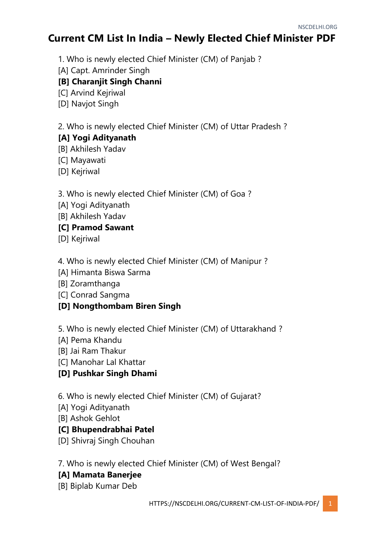1. Who is newly elected Chief Minister (CM) of Panjab ?

[A] Capt. Amrinder Singh

## **[B] Charanjit Singh Channi**

[C] Arvind Kejriwal

[D] Navjot Singh

2. Who is newly elected Chief Minister (CM) of Uttar Pradesh ?

## **[A] Yogi Adityanath**

- [B] Akhilesh Yadav
- [C] Mayawati
- [D] Kejriwal

## 3. Who is newly elected Chief Minister (CM) of Goa ?

- [A] Yogi Adityanath
- [B] Akhilesh Yadav

#### **[C] Pramod Sawant**

[D] Kejriwal

4. Who is newly elected Chief Minister (CM) of Manipur ?

- [A] Himanta Biswa Sarma
- [B] Zoramthanga
- [C] Conrad Sangma

## **[D] Nongthombam Biren Singh**

5. Who is newly elected Chief Minister (CM) of Uttarakhand ?

- [A] Pema Khandu
- [B] Jai Ram Thakur
- [C] Manohar Lal Khattar

## **[D] Pushkar Singh Dhami**

6. Who is newly elected Chief Minister (CM) of Gujarat?

- [A] Yogi Adityanath
- [B] Ashok Gehlot

## **[C] Bhupendrabhai Patel**

[D] Shivraj Singh Chouhan

## 7. Who is newly elected Chief Minister (CM) of West Bengal?

## **[A] Mamata Banerjee**

[B] Biplab Kumar Deb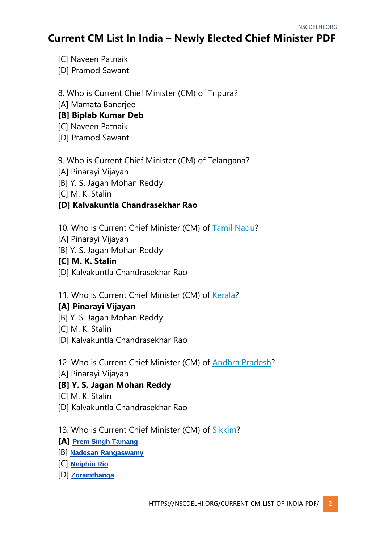- [C] Naveen Patnaik
- [D] Pramod Sawant

## 8. Who is Current Chief Minister (CM) of Tripura?

[A] Mamata Banerjee

## **[B] Biplab Kumar Deb**

- [C] Naveen Patnaik
- [D] Pramod Sawant

## 9. Who is Current Chief Minister (CM) of Telangana?

- [A] Pinarayi Vijayan
- [B] Y. S. Jagan Mohan Reddy
- [C] M. K. Stalin

## **[D] Kalvakuntla Chandrasekhar Rao**

- 10. Who is Current Chief Minister (CM) of [Tamil Nadu?](https://en.wikipedia.org/wiki/Tamil_Nadu)
- [A] Pinarayi Vijayan
- [B] Y. S. Jagan Mohan Reddy
- **[C] M. K. Stalin**
- [D] Kalvakuntla Chandrasekhar Rao
- 11. Who is Current Chief Minister (CM) of [Kerala?](https://en.wikipedia.org/wiki/Kerala)

## **[A] Pinarayi Vijayan**

- [B] Y. S. Jagan Mohan Reddy
- [C] M. K. Stalin
- [D] Kalvakuntla Chandrasekhar Rao

12. Who is Current Chief Minister (CM) of [Andhra Pradesh?](https://en.wikipedia.org/wiki/Andhra_Pradesh)

[A] Pinarayi Vijayan

## **[B] Y. S. Jagan Mohan Reddy**

- [C] M. K. Stalin
- [D] Kalvakuntla Chandrasekhar Rao

#### 13. Who is Current Chief Minister (CM) of [Sikkim?](https://en.wikipedia.org/wiki/Andhra_Pradesh)

- **[A] [Prem Singh Tamang](https://en.wikipedia.org/wiki/Prem_Singh_Tamang)**
- [B] **[Nadesan Rangaswamy](https://en.wikipedia.org/wiki/N._Rangaswamy)**
- [C] **[Neiphiu Rio](https://en.wikipedia.org/wiki/Neiphiu_Rio)**
- [D] **[Zoramthanga](https://en.wikipedia.org/wiki/Zoramthanga)**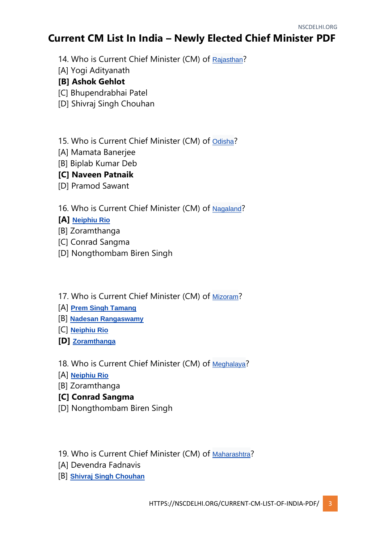- 14. Who is Current Chief Minister (CM) of [Rajasthan](https://en.wikipedia.org/wiki/Rajasthan)?
- [A] Yogi Adityanath

#### **[B] Ashok Gehlot**

- [C] Bhupendrabhai Patel
- [D] Shivraj Singh Chouhan
- 15. Who is Current Chief Minister (CM) of [Odisha](https://en.wikipedia.org/wiki/Odisha)?
- [A] Mamata Banerjee
- [B] Biplab Kumar Deb
- **[C] Naveen Patnaik**
- [D] Pramod Sawant

16. Who is Current Chief Minister (CM) of [Nagaland](https://en.wikipedia.org/wiki/Nagaland)?

**[A] [Neiphiu Rio](https://en.wikipedia.org/wiki/Neiphiu_Rio)**

- [B] Zoramthanga
- [C] Conrad Sangma
- [D] Nongthombam Biren Singh
- 17. Who is Current Chief Minister (CM) of [Mizoram](https://en.wikipedia.org/wiki/Mizoram)?
- [A] **[Prem Singh Tamang](https://en.wikipedia.org/wiki/Prem_Singh_Tamang)**
- [B] **[Nadesan Rangaswamy](https://en.wikipedia.org/wiki/N._Rangaswamy)**
- [C] **[Neiphiu Rio](https://en.wikipedia.org/wiki/Neiphiu_Rio)**
- **[D] [Zoramthanga](https://en.wikipedia.org/wiki/Zoramthanga)**

18. Who is Current Chief Minister (CM) of [Meghalaya](https://en.wikipedia.org/wiki/Meghalaya)?

- [A] **[Neiphiu Rio](https://en.wikipedia.org/wiki/Neiphiu_Rio)**
- [B] Zoramthanga
- **[C] Conrad Sangma**
- [D] Nongthombam Biren Singh
- 19. Who is Current Chief Minister (CM) of [Maharashtra](https://en.wikipedia.org/wiki/Maharashtra)?
- [A] Devendra Fadnavis
- [B] **[Shivraj Singh Chouhan](https://en.wikipedia.org/wiki/Shivraj_Singh_Chouhan)**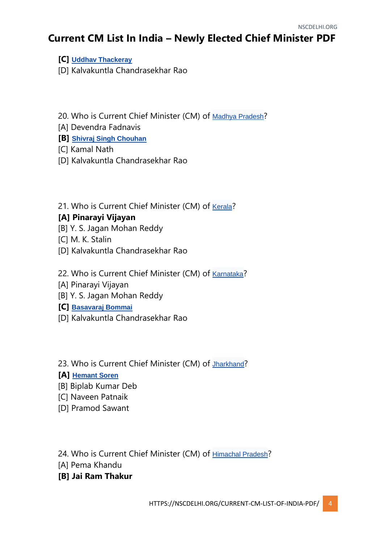**[C] [Uddhav Thackeray](https://en.wikipedia.org/wiki/Uddhav_Thackeray)**

[D] Kalvakuntla Chandrasekhar Rao

20. Who is Current Chief Minister (CM) of [Madhya Pradesh](https://en.wikipedia.org/wiki/Madhya_Pradesh)?

- [A] Devendra Fadnavis
- **[B] [Shivraj Singh Chouhan](https://en.wikipedia.org/wiki/Shivraj_Singh_Chouhan)**
- [C] Kamal Nath
- [D] Kalvakuntla Chandrasekhar Rao
- 21. Who is Current Chief Minister (CM) of [Kerala](https://en.wikipedia.org/wiki/Kerala)?

## **[A] Pinarayi Vijayan**

- [B] Y. S. Jagan Mohan Reddy
- [C] M. K. Stalin
- [D] Kalvakuntla Chandrasekhar Rao
- 22. Who is Current Chief Minister (CM) of [Karnataka](https://en.wikipedia.org/wiki/Karnataka)?
- [A] Pinarayi Vijayan
- [B] Y. S. Jagan Mohan Reddy

#### **[C] [Basavaraj Bommai](https://en.wikipedia.org/wiki/Basavaraj_Bommai)**

- [D] Kalvakuntla Chandrasekhar Rao
- 23. Who is Current Chief Minister (CM) of [Jharkhand](https://en.wikipedia.org/wiki/Jharkhand)?

#### **[A] [Hemant Soren](https://en.wikipedia.org/wiki/Hemant_Soren)**

- [B] Biplab Kumar Deb
- [C] Naveen Patnaik
- [D] Pramod Sawant
- 24. Who is Current Chief Minister (CM) of [Himachal Pradesh](https://en.wikipedia.org/wiki/Himachal_Pradesh)?
- [A] Pema Khandu
- **[B] Jai Ram Thakur**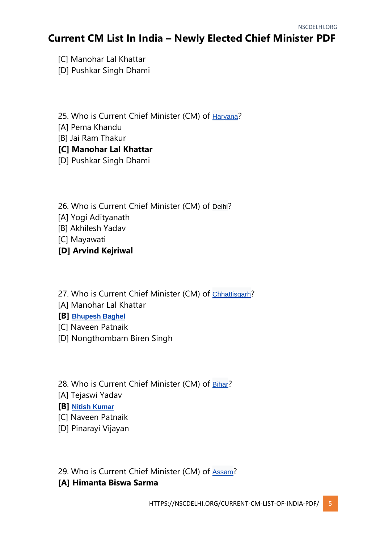[C] Manohar Lal Khattar

[D] Pushkar Singh Dhami

25. Who is Current Chief Minister (CM) of [Haryana](https://en.wikipedia.org/wiki/Haryana)? [A] Pema Khandu

[B] Jai Ram Thakur

#### **[C] Manohar Lal Khattar**

[D] Pushkar Singh Dhami

26. Who is Current Chief Minister (CM) of Delhi?

- [A] Yogi Adityanath
- [B] Akhilesh Yadav

[C] Mayawati

**[D] Arvind Kejriwal**

- 27. Who is Current Chief Minister (CM) of [Chhattisgarh](https://en.wikipedia.org/wiki/Chhattisgarh)?
- [A] Manohar Lal Khattar
- **[B] [Bhupesh Baghel](https://en.wikipedia.org/wiki/Bhupesh_Baghel)**
- [C] Naveen Patnaik
- [D] Nongthombam Biren Singh
- 28. Who is Current Chief Minister (CM) of [Bihar](https://en.wikipedia.org/wiki/Bihar)?
- [A] Tejaswi Yadav
- **[B] [Nitish Kumar](https://en.wikipedia.org/wiki/Nitish_Kumar)**
- [C] Naveen Patnaik
- [D] Pinarayi Vijayan

29. Who is Current Chief Minister (CM) of [Assam](https://en.wikipedia.org/wiki/Assam)?

## **[A] Himanta Biswa Sarma**